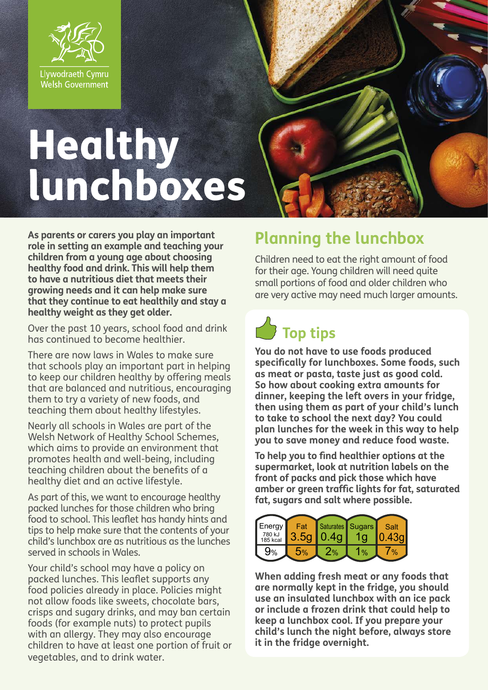

# Healthy lunchboxes

**As parents or carers you play an important role in setting an example and teaching your children from a young age about choosing healthy food and drink. This will help them to have a nutritious diet that meets their growing needs and it can help make sure that they continue to eat healthily and stay a healthy weight as they get older.**

Over the past 10 years, school food and drink has continued to become healthier.

There are now laws in Wales to make sure that schools play an important part in helping to keep our children healthy by offering meals that are balanced and nutritious, encouraging them to try a variety of new foods, and teaching them about healthy lifestyles.

Nearly all schools in Wales are part of the Welsh Network of Healthy School Schemes, which aims to provide an environment that promotes health and well-being, including teaching children about the benefits of a healthy diet and an active lifestyle.

As part of this, we want to encourage healthy packed lunches for those children who bring food to school. This leaflet has handy hints and tips to help make sure that the contents of your child's lunchbox are as nutritious as the lunches served in schools in Wales.

Your child's school may have a policy on packed lunches. This leaflet supports any food policies already in place. Policies might not allow foods like sweets, chocolate bars, crisps and sugary drinks, and may ban certain foods (for example nuts) to protect pupils with an allergy. They may also encourage children to have at least one portion of fruit or vegetables, and to drink water.

### **Planning the lunchbox**

Children need to eat the right amount of food for their age. Young children will need quite small portions of food and older children who are very active may need much larger amounts.



**You do not have to use foods produced specifically for lunchboxes. Some foods, such as meat or pasta, taste just as good cold. So how about cooking extra amounts for dinner, keeping the left overs in your fridge, then using them as part of your child's lunch to take to school the next day? You could plan lunches for the week in this way to help you to save money and reduce food waste.**

**To help you to find healthier options at the supermarket, look at nutrition labels on the front of packs and pick those which have amber or green traffic lights for fat, saturated fat, sugars and salt where possible.**

| Energy<br>780 kJ<br>185 kcal | Fat<br>3.5 <sub>q</sub> | 0.4q          | Saturates Sugars | Salt |
|------------------------------|-------------------------|---------------|------------------|------|
| 9%                           | 5%                      | $\frac{9}{6}$ | $\frac{0}{2}$    |      |

**When adding fresh meat or any foods that are normally kept in the fridge, you should use an insulated lunchbox with an ice pack or include a frozen drink that could help to keep a lunchbox cool. If you prepare your child's lunch the night before, always store it in the fridge overnight.**